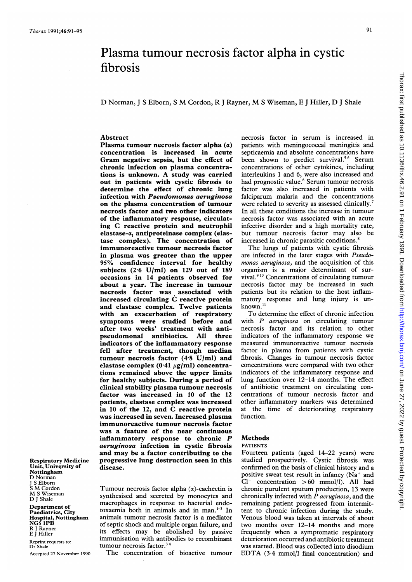# Plasma tumour necrosis factor alpha in cystic fibrosis

D Norman, <sup>J</sup> <sup>S</sup> Elborn, <sup>S</sup> M Cordon, R <sup>J</sup> Rayner, M <sup>S</sup> Wiseman, <sup>E</sup> <sup>J</sup> Hiller, D <sup>J</sup> Shale

### Abstract

Plasma tumour necrosis factor alpha  $(\alpha)$ concentration is increased in acute Gram negative sepsis, but the effect of chronic infection on plasma concentrations is unknown. A study was carried out in patients with cystic fibrosis to determine the effect of chronic lung infection with Pseudomonas aeruginosa on the plasma concentration of tumour necrosis factor and two other indicators of the inflammatory response, circulating C reactive protein and neutrophil elastase-a, antiproteinase complex (elastase complex). The concentration of immunoreactive tumour necrosis factor in plasma was greater than the upper 95% confidence interval for healthy subjects (2-6 U/ml) on 129 out of 189 occasions in 14 patients observed for about a year. The increase in tumour necrosis factor was associated with increased circulating C reactive protein and elastase complex. Twelve patients with an exacerbation of respiratory symptoms were studied before and after two weeks' treatment with antipseudomonal antibiotics. All three indicators of the inflammatory response fell after treatment, though median tumour necrosis factor (4-8 U/ml) and elastase complex (0.41  $\mu$ g/ml) concentrations remained above the upper limits for healthy subjects. During a period of clinical stability plasma tumour necrosis factor was increased in 10 of the 12 patients, elastase complex was increased in 10 of the 12, and C reactive protein was increased in seven. Increased plasma immunoreactive tumour necrosis factor was a feature of the near continuous inflammatory response to chronic P aeruginosa infection in cystic fibrosis and may be a factor contributing to the progressive lung destruction seen in this disease.

Respiratory Medicine Unit, University of Nottingham D Norman J S Elborn <sup>S</sup> M Cordon M <sup>S</sup> Wiseman D J Shale

Department of Paediatrics, City Hospital, Nottingham NG5 IPB R <sup>J</sup> Rayner E <sup>J</sup> Hiller

Reprint requests to: Dr Shale

Accepted 27 November 1990

Tumour necrosis factor alpha  $(\alpha)$ -cachectin is synthesised and secreted by monocytes and macrophages in response to bacterial endotoxaemia both in animals and in man.<sup>1-3</sup> In animals tumour necrosis factor is a mediator of septic shock and multiple organ failure, and its effects may be abolished by passive immunisation with antibodies to recombinant tumour necrosis factor.<sup>34</sup>

The concentration of bioactive tumour

necrosis factor in serum is increased in patients with meningococcal meningitis and septicaemia and absolute concentrations have been shown to predict survival.<sup>56</sup> Serum concentrations of other cytokines, including interleukins <sup>1</sup> and 6, were also increased and had prognostic value.<sup>6</sup> Serum tumour necrosis factor was also increased in patients with falciparum malaria and the concentrations were related to severity as assessed clinically.<sup>7</sup> In all these conditions the increase in tumour necrosis factor was associated with an acute infective disorder and a high mortality rate, but tumour necrosis factor may also be increased in chronic parasitic conditions.<sup>8</sup>

The lungs of patients with cystic fibrosis are infected in the later stages with Pseudomonas aeruginosa, and the acquisition of this organism is a major determinant of survival.9 <sup>10</sup> Concentrations of circulating tumour necrosis factor may be increased in such patients but its relation to the host inflammatory response and lung injury is unknown."

To determine the effect of chronic infection with  $P$  aeruginosa on circulating tumour necrosis factor and its relation to other indicators of the inflammatory response we measured immunoreactive tumour necrosis factor in plasma from patients with cystic fibrosis. Changes in tumour necrosis factor concentrations were compared with two other indicators of the inflammatory response and lung function over 12-14 months. The effect of antibiotic treatment on circulating concentrations of tumour necrosis factor and other inflammatory markers was determined at the time of deteriorating respiratory function.

## Methods

# PATIENTS

Fourteen patients (aged 14-22 years) were studied prospectively. Cystic fibrosis was confirmed on the basis of clinical history and a positive sweat test result in infancy  $(Na<sup>+</sup>$  and  $Cl^-$  concentration  $> 60$  mmol/l). All had chronic purulent sputum production, 13 were chronically infected with  $\overline{P}$  aeruginosa, and the remaining patient progressed from intermittent to chronic infection during the study. Venous blood was taken at intervals of about two months over 12-14 months and more frequently when a symptomatic respiratory deterioration occurred and antibiotic treatment was started. Blood was collected into disodium EDTA (3.4 mmol/l final concentration) and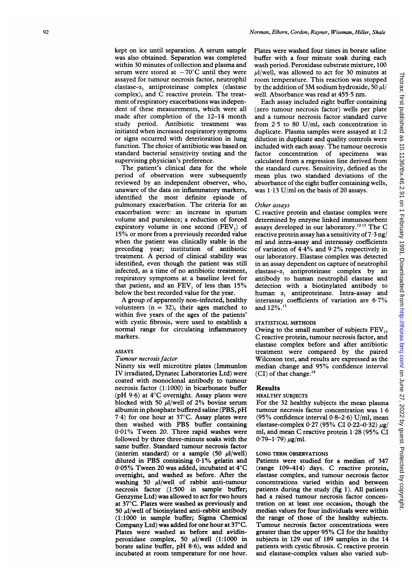kept on ice until separation. A serum sample was also obtained. Separation was completed within 30 minutes of collection and plasma and serum were stored at  $-70^{\circ}$ C until they were assayed for tumour necrosis factor, neutrophil elastase- $\alpha_1$  antiproteinase complex (elastase complex), and C reactive protein. The treatment of respiratory exacerbations was independent of these measurements, which were all made after completion of the 12-14 month study period. Antibiotic treatment was initiated when increased respiratory symptoms or signs occurred with deterioration in lung function. The choice of antibiotic was based on standard bacterial sensitivity testing and the supervising physician's preference.

The patient's clinical data for the whole period of observation were subsequently reviewed by an independent observer, who, unaware of the data on inflammatory markers, identified the most definite episode of pulmonary exacerbation. The criteria for an exacerbation were: an increase in sputum volume and purulence; a reduction of forced expiratory volume in one second (FEV,) of 15% or more from a previously recorded value when the patient was clinically stable in the preceding year; institution of antibiotic treatment. A period of clinical stability was identified, even though the patient was still infected, as a time of no antibiotic treatment, respiratory symptoms at a baseline level for that patient, and an FEV, of less than 15% below the best recorded value for the year.

A group of apparently non-infected, healthy volunteers  $(n = 32)$ , their ages matched to within five years of the ages of the patients' with cystic fibrosis, were used to establish a normal range for circulating inflammatory markers.

### ASSAYS

### Tumour necrosis factor

Ninety six well microtitre plates (Immunlon IV irradiated, Dynatec Laboratories Ltd) were coated with monoclonal antibody to tumour necrosis factor (1:1000) in bicarbonate buffer (pH 9-6) at 4°C overnight. Assay plates were blocked with 50  $\mu$ l/well of 2% bovine serum albumin in phosphate buffered saline (PBS, pH  $7.4$ ) for one hour at  $37^{\circ}$ C. Assay plates were then washed with PBS buffer containing 0-01% Tween 20. Three rapid washes were followed by three three-minute soaks with the same buffer. Standard tumour necrosis factor (interim standard) or a sample (50  $\mu$ I/well) diluted in PBS containing 0-1% gelatin and 0 05% Tween 20 was added, incubated at 4°C overnight, and washed as before. After the washing 50  $\mu$ l/well of rabbit anti-tumour necrosis factor (1:500 in sample buffer; Genzyme Ltd) was allowed to act for two hours at 37°C. Plates were washed as previously and 50  $\mu$ l/well of biotinylated anti-rabbit antibody (1:1000 in sample buffer; Sigma Chemical Company Ltd) was added for one hour at 37°C. Plates were washed as before and avidinperoxidase complex, 50  $\mu$ l/well (1:1000 in borate saline buffer, pH 8 6), was added and incubated at room temperature for one hour.

Plates were washed four times in borate saline buffer with a four minute soak during each wash period. Peroxidase substrate mixture, 100  $\mu$ l/well, was allowed to act for 30 minutes at room temperature. This reaction was stopped by the addition of 3M sodium hydroxide, 50  $\mu$ l/ well. Absorbance was read at 455 5 nm.

Each assay included eight buffer containing (zero tumour necrosis factor) wells per plate and a tumour necrosis factor standard curve from 2 5 to 80 U/ml, each concentration in duplicate. Plasma samples were assayed at 1:2 dilution in duplicate and quality controls were included with each assay. The tumour necrosis<br>factor concentration of specimens was factor concentration of specimens calculated from a regression line derived from the standard curve. Sensitivity, defined as the mean plus two standard deviations of the absorbance of the eight buffer containing wells, was  $1.13$  U/ml on the basis of 20 assays.

### Other assays

C reactive protein and elastase complex were determined by enzyme linked immunosorbent assays developed in our laboratory.<sup>1213</sup> The C reactive protein assay has a sensitivity of  $7·3$  ng/ ml and intra-assay and interassay coefficients of variation of  $4.4\%$  and  $9.2\%$  respectively in our laboratory. Elastase complex was detected in an assay dependent on capture of neutrophil elastase- $\alpha_1$  antiproteinase complex by an antibody to human neutrophil elastase and detection with a biotinylated antibody to human  $\alpha_1$  antiproteinase. Intra-assay and interassay coefficients of variation are 6-7% and 12%.'3

STATISTICAL METHODS<br>Owing to the small number of subjects FEV<sub>1</sub>, C reactive protein, tumour necrosis factor, and elastase complex before and after antibiotic treatment were compared by the paired Wilcoxon test, and results are expressed as the median change and 95% confidence interval (CI) of that change.<sup>14</sup>

### Results

### HEALTHY SUBJECTS

For the 32 healthy subjects the mean plasma tumour necrosis factor concentration was 1-6 (95% confidence interval  $0.8-2.6$ ) U/ml, mean elastase-complex  $0.27$  (95% CI 0.22–0.32)  $\mu$ g/ ml, and mean C reactive protein <sup>1</sup> 28 (95% CI  $0.79-1.79) \mu g/ml.$ 

### LONG TERM OBSERVATIONS

Patients were studied for a median of 347 (range 109-414) days. C reactive protein, elastase complex, and tumour necrosis factor concentrations varied within and between patients during the study (fig 1). All patients had a raised tumour necrosis factor concentration on at least one occasion, though the median values for four individuals were within the range of those of the healthy subjects. Tumour necrosis factor concentrations were greater than the upper 95% CI for the healthy subjects in 129 out of 189 samples in the 14 patients with cystic fibrosis. C reactive protein and elastase-complex values also varied sub-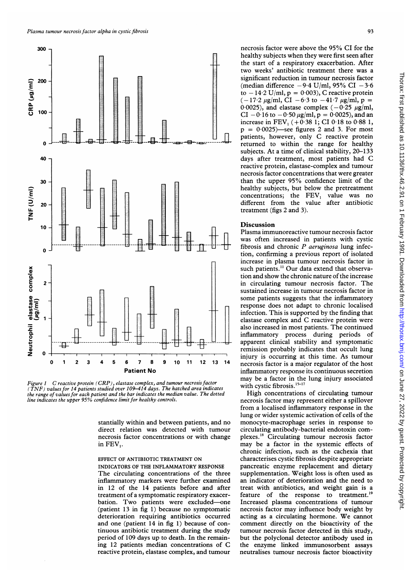

Figure <sup>1</sup> C reactive protein (CRP), elastase complex, and tumour necrosis factor ( TNF ) values for 14 patients studied over 109–414 days. The hatched area indicates<br>the range of values for each patient and the bar indicates the median value. The dotted<br>line indicates the upper 95% confidence limit for

stantially within and between patients, and no direct relation was detected with tumour necrosis factor concentrations or with change in FEV,.

### EFFECT OF ANTIBIOTIC TREATMENT ON INDICATORS OF THE INFLAMMATORY RESPONSE

The circulating concentrations of the three inflammatory markers were further examined in 12 of the 14 patients before and after treatment of a symptomatic respiratory exacerbation. Two patients were excluded-one (patient <sup>13</sup> in fig 1) because no symptomatic deterioration requiring antibiotics occurred and one (patient <sup>14</sup> in fig 1) because of continuous antibiotic treatment during the study period of 109 days up to death. In the remaining <sup>12</sup> patients median concentrations of C reactive protein, elastase complex, and tumour

necrosis factor were above the 95% CI for the healthy subjects when they were first seen after the start of a respiratory exacerbation. After two weeks' antibiotic treatment there was a significant reduction in tumour necrosis factor (median difference  $-9.4$  U/ml, 95% CI  $-3.6$ to  $-14.2$  U/ml,  $p = 0.003$ ), C reactive protein  $(-17.2 \mu g/ml, CI -6.3 \text{ to } -41.7 \mu g/ml, p =$ 0.0025), and elastase complex  $(-0.25 \mu g/ml)$ , CI-0 16 to-0.50  $\mu$ g/ml, p = 0.0025), and an increase in FEV<sub>1</sub> (+0.38 1; CI 0.18 to 0.88 1,  $p = 0.0025$ )—see figures 2 and 3. For most patients, however, only C reactive protein returned to within the range for healthy subjects. At a time of clinical stability, 20-133 days after treatment, most patients had C reactive protein, elastase-complex and tumour necrosis factor concentrations that were greater than the upper 95% confidence limit of the healthy subjects, but below the pretreatment concentrations; the FEV, value was no different from the value after antibiotic treatment (figs 2 and 3).

### Discussion

Plasma immunoreactive tumour necrosis factor was often increased in patients with cystic fibrosis and chronic  $P$  aeruginosa lung infection, confirming a previous report of isolated increase in plasma tumour necrosis factor in such patients.<sup>11</sup> Our data extend that observation and show the chronic nature of the increase in circulating tumour necrosis factor. The sustained increase in tumour necrosis factor in some patients suggests that the inflammatory response does not adapt to chronic localised infection. This is supported by the finding that elastase complex and C reactive protein were also increased in most patients. The continued inflammatory process during periods of apparent clinical stability and symptomatic remission probably indicates that occult lung injury is occurring at this time. As tumour necrosis factor is a major regulator of the host inflammatory response its continuous secretion may be a factor in the lung injury associated with cystic fibrosis.<sup>15-17</sup>

High concentrations of circulating tumour necrosis factor may represent either a spillover from a localised inflammatory response in the lung or wider systemic activation of cells of the monocyte-macrophage series in response to circulating antibody-bacterial endotoxin complexes. <sup>8</sup> Circulating tumour necrosis factor may be <sup>a</sup> factor in the systemic effects of chronic infection, such as the cachexia that characterises cystic fibrosis despite appropriate pancreatic enzyme replacement and dietary supplementation. Weight loss is often used as an indicator of deterioration and the need to treat with antibiotics, and weight gain is a feature of the response to treatment.<sup>19</sup> Increased plasma concentrations of tumour necrosis factor may influence body weight by acting as <sup>a</sup> circulating hormone. We cannot comment directly on the bioactivity of the tumour necrosis factor detected in this study, but the polyclonal detector antibody used in the enzyme linked immunosorbent assays neutralises tumour necrosis factor bioactivity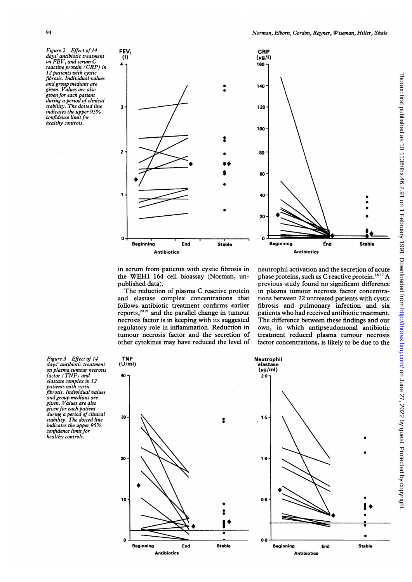Figure 2 Effect of 14 days' antibiotic treatment on  $FEV$ , and serum  $C$ reactive protein (CRP) in 12 patients with cystic fibrosis. Individual values and group medians are given. Values are also given for each patient during a period of clinical stability. The dotted line indicates the upper 95% confidence limit for healthy controls.



in serum from patients with cystic fibrosis in the WEHI <sup>164</sup> cell bioassay (Norman, unpublished data).

The reduction of plasma C reactive protein and elastase complex concentrations that follows antibiotic treatment confirms earlier reports,2021 and the parallel change in tumour necrosis factor is in keeping with its suggested regulatory role in inflammation. Reduction in tumour necrosis factor and the secretion of other cytokines may have reduced the level of

neutrophil activation and the secretion of acute phase proteins, such as C reactive protein.<sup>16 17</sup> A previous study found no significant difference in plasma tumour necrosis factor concentrations between 22 untreated patients with cystic fibrosis and pulmonary infection and six patients who had received antibiotic treatment. The difference between these findings and our own, in which antipseudomonal antibiotic treatment reduced plasma tumour necrosis factor concentrations, is likely to be due to the

Figure 3 Effect of 14 days' antibiotic treatment on plasma tumour necrosis factor (TNF) and elastase complex in 12 patients with cystic fibrosis. Individual values and group medians are given. Values are also given for each patient during a period of clinical stability. The dotted line indicates the upper 95% confidence limit for healthy controls.